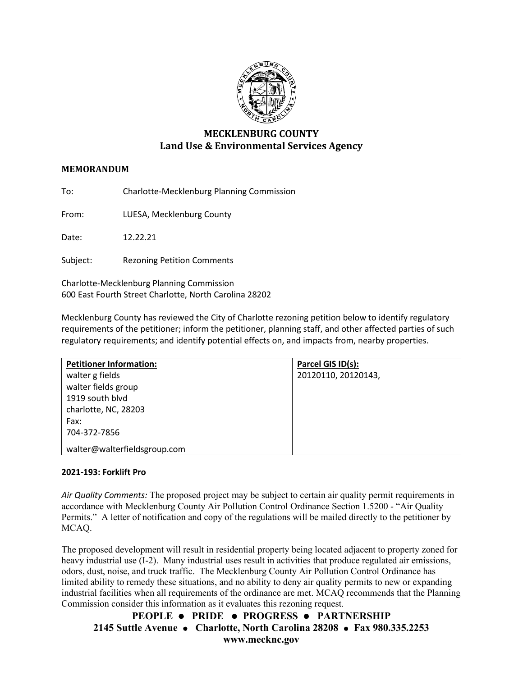

# **MECKLENBURG COUNTY Land Use & Environmental Services Agency**

# **MEMORANDUM**

To: Charlotte-Mecklenburg Planning Commission

From: LUESA, Mecklenburg County

Date: 12.22.21

Subject: Rezoning Petition Comments

Charlotte-Mecklenburg Planning Commission 600 East Fourth Street Charlotte, North Carolina 28202

Mecklenburg County has reviewed the City of Charlotte rezoning petition below to identify regulatory requirements of the petitioner; inform the petitioner, planning staff, and other affected parties of such regulatory requirements; and identify potential effects on, and impacts from, nearby properties.

| <b>Petitioner Information:</b> | Parcel GIS ID(s):   |
|--------------------------------|---------------------|
| walter g fields                | 20120110, 20120143, |
| walter fields group            |                     |
| 1919 south blvd                |                     |
| charlotte, NC, 28203           |                     |
| Fax:                           |                     |
| 704-372-7856                   |                     |
| walter@walterfieldsgroup.com   |                     |

## **2021-193: Forklift Pro**

*Air Quality Comments:* The proposed project may be subject to certain air quality permit requirements in accordance with Mecklenburg County Air Pollution Control Ordinance Section 1.5200 - "Air Quality Permits." A letter of notification and copy of the regulations will be mailed directly to the petitioner by MCAQ.

The proposed development will result in residential property being located adjacent to property zoned for heavy industrial use (I-2). Many industrial uses result in activities that produce regulated air emissions, odors, dust, noise, and truck traffic. The Mecklenburg County Air Pollution Control Ordinance has limited ability to remedy these situations, and no ability to deny air quality permits to new or expanding industrial facilities when all requirements of the ordinance are met. MCAQ recommends that the Planning Commission consider this information as it evaluates this rezoning request.

**PEOPLE PRIDE PROGRESS PARTNERSHIP 2145 Suttle Avenue Charlotte, North Carolina 28208 Fax 980.335.2253 www.mecknc.gov**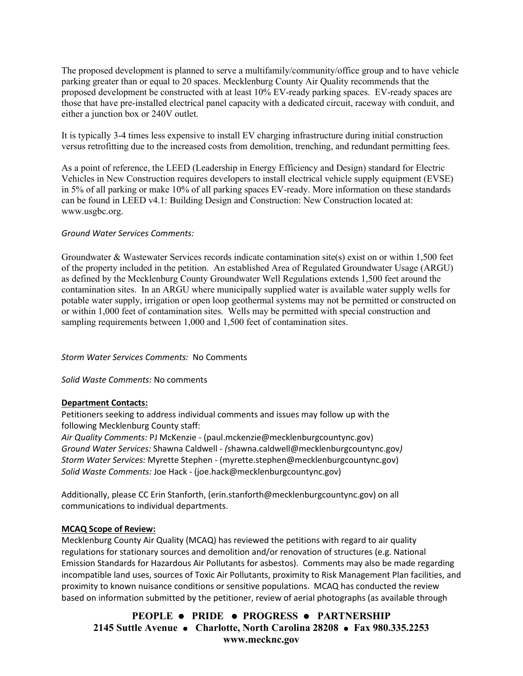The proposed development is planned to serve a multifamily/community/office group and to have vehicle parking greater than or equal to 20 spaces. Mecklenburg County Air Quality recommends that the proposed development be constructed with at least 10% EV-ready parking spaces. EV-ready spaces are those that have pre-installed electrical panel capacity with a dedicated circuit, raceway with conduit, and either a junction box or 240V outlet.

It is typically 3-4 times less expensive to install EV charging infrastructure during initial construction versus retrofitting due to the increased costs from demolition, trenching, and redundant permitting fees.

As a point of reference, the LEED (Leadership in Energy Efficiency and Design) standard for Electric Vehicles in New Construction requires developers to install electrical vehicle supply equipment (EVSE) in 5% of all parking or make 10% of all parking spaces EV-ready. More information on these standards can be found in LEED v4.1: Building Design and Construction: New Construction located at: [www.usgbc.org.](http://www.usgbc.org/)

## *Ground Water Services Comments:*

Groundwater & Wastewater Services records indicate contamination site(s) exist on or within 1,500 feet of the property included in the petition. An established Area of Regulated Groundwater Usage (ARGU) as defined by the Mecklenburg County Groundwater Well Regulations extends 1,500 feet around the contamination sites. In an ARGU where municipally supplied water is available water supply wells for potable water supply, irrigation or open loop geothermal systems may not be permitted or constructed on or within 1,000 feet of contamination sites. Wells may be permitted with special construction and sampling requirements between 1,000 and 1,500 feet of contamination sites.

#### *Storm Water Services Comments:* No Comments

#### *Solid Waste Comments:* No comments

#### **Department Contacts:**

Petitioners seeking to address individual comments and issues may follow up with the following Mecklenburg County staff:

*Air Quality Comments:* PJ McKenzie - (paul.mckenzie@mecklenburgcountync.gov) *Ground Water Services:* Shawna Caldwell - *(*shawna.caldwell@mecklenburgcountync.gov*) Storm Water Services:* Myrette Stephen - (myrette.stephen@mecklenburgcountync.gov) *Solid Waste Comments:* Joe Hack - (joe.hack@mecklenburgcountync.gov)

Additionally, please CC Erin Stanforth, (erin.stanforth@mecklenburgcountync.gov) on all communications to individual departments.

#### **MCAQ Scope of Review:**

Mecklenburg County Air Quality (MCAQ) has reviewed the petitions with regard to air quality regulations for stationary sources and demolition and/or renovation of structures (e.g. National Emission Standards for Hazardous Air Pollutants for asbestos). Comments may also be made regarding incompatible land uses, sources of Toxic Air Pollutants, proximity to Risk Management Plan facilities, and proximity to known nuisance conditions or sensitive populations. MCAQ has conducted the review based on information submitted by the petitioner, review of aerial photographs (as available through

**PEOPLE PRIDE PROGRESS PARTNERSHIP 2145 Suttle Avenue Charlotte, North Carolina 28208 Fax 980.335.2253 www.mecknc.gov**